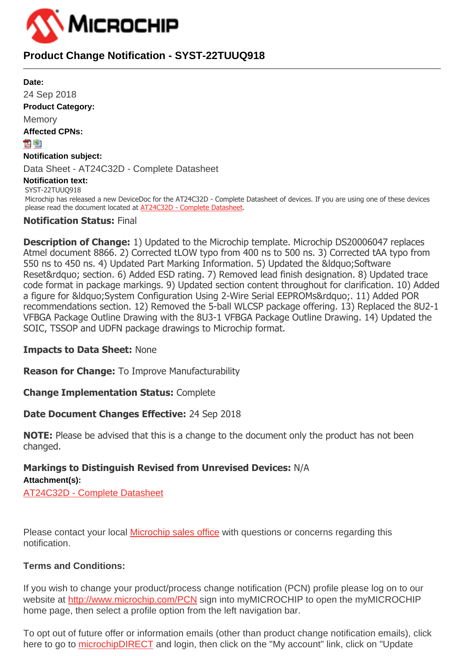

# **Product Change Notification - SYST-22TUUQ918**

**Date:** 24 Sep 2018 **Product Category: Memory Affected CPNs:** 內閣 **Notification subject:** Data Sheet - AT24C32D - Complete Datasheet **Notification text:** SYST-22TUUQ918 Microchip has released a new DeviceDoc for the AT24C32D - Complete Datasheet of devices. If you are using one of these devices please read the document located at [AT24C32D - Complete Datasheet](http://www.microchip.com/mymicrochip/filehandler.aspx?ddocname=en589557).

## **Notification Status:** Final

**Description of Change:** 1) Updated to the Microchip template. Microchip DS20006047 replaces Atmel document 8866. 2) Corrected tLOW typo from 400 ns to 500 ns. 3) Corrected tAA typo from 550 ns to 450 ns. 4) Updated Part Marking Information. 5) Updated the &ldguo; Software Reset" section. 6) Added ESD rating. 7) Removed lead finish designation. 8) Updated trace code format in package markings. 9) Updated section content throughout for clarification. 10) Added a figure for &Idguo: System Configuration Using 2-Wire Serial EEPROMs&rdguo:, 11) Added POR recommendations section. 12) Removed the 5-ball WLCSP package offering. 13) Replaced the 8U2-1 VFBGA Package Outline Drawing with the 8U3-1 VFBGA Package Outline Drawing. 14) Updated the SOIC, TSSOP and UDFN package drawings to Microchip format.

#### **Impacts to Data Sheet:** None

**Reason for Change:** To Improve Manufacturability

**Change Implementation Status:** Complete

## **Date Document Changes Effective:** 24 Sep 2018

**NOTE:** Please be advised that this is a change to the document only the product has not been changed.

#### **Markings to Distinguish Revised from Unrevised Devices:** N/A **Attachment(s):**

[AT24C32D - Complete Datasheet](https://www.microchip.com/mymicrochip/filehandler.aspx?ddocname=en589557)

Please contact your local [Microchip sales office](http://www.microchip.com/stellent/idcplg?IdcService=SS_GET_PAGE&nodeId=71) with questions or concerns regarding this notification.

## **Terms and Conditions:**

If you wish to change your product/process change notification (PCN) profile please log on to our website at <http://www.microchip.com/PCN> sign into myMICROCHIP to open the myMICROCHIP home page, then select a profile option from the left navigation bar.

To opt out of future offer or information emails (other than product change notification emails), click here to go to [microchipDIRECT](http://www.microchipdirect.com/) and login, then click on the "My account" link, click on "Update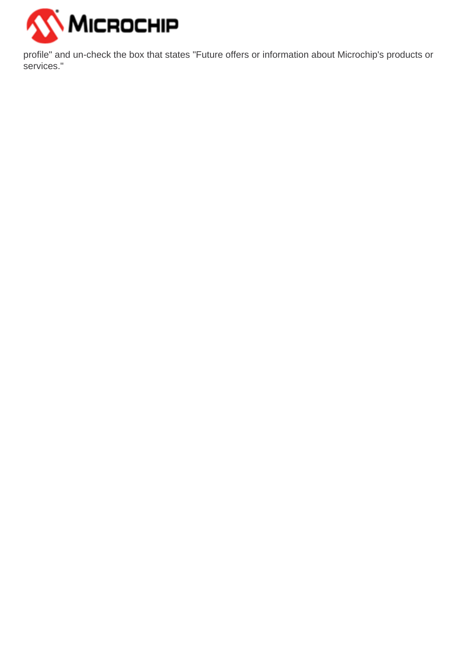

profile" and un-check the box that states "Future offers or information about Microchip's products or services."